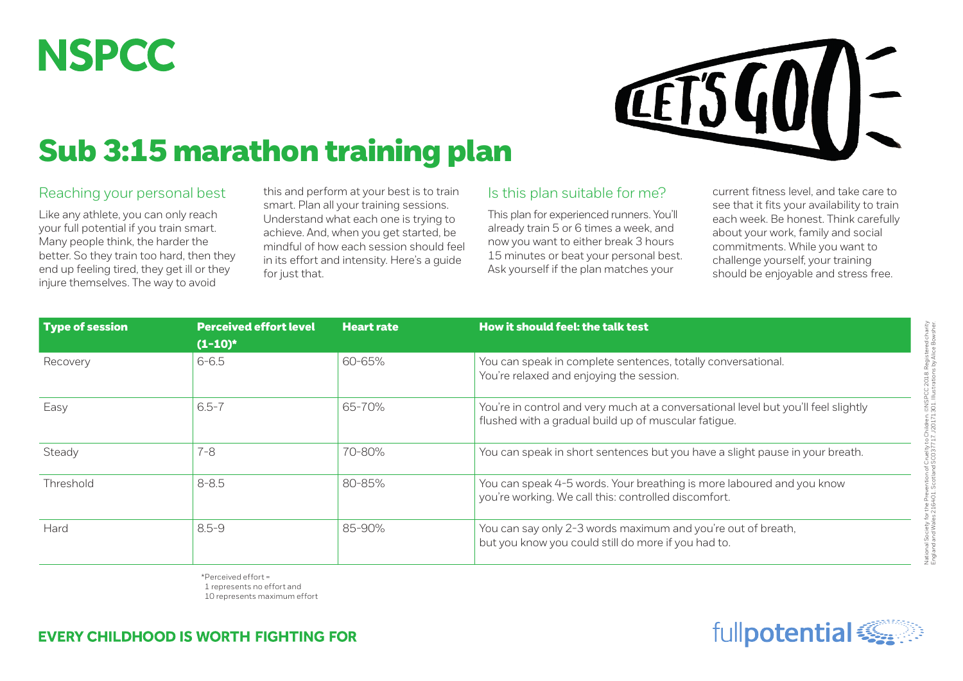## **NSPCC**



## Sub 3:15 marathon training plan

## Reaching your personal best

Like any athlete, you can only reach your full potential if you train smart. Many people think, the harder the better. So they train too hard, then they end up feeling tired, they get ill or they injure themselves. The way to avoid

this and perform at your best is to train smart. Plan all your training sessions. Understand what each one is trying to achieve. And, when you get started, be mindful of how each session should feel in its effort and intensity. Here's a guide for just that.

## Is this plan suitable for me?

This plan for experienced runners. You'll already train 5 or 6 times a week, and now you want to either break 3 hours 15 minutes or beat your personal best. Ask yourself if the plan matches your

current fitness level, and take care to see that it fits your availability to train each week. Be honest. Think carefully about your work, family and social commitments. While you want to challenge yourself, your training should be enjoyable and stress free.

| <b>Type of session</b> | <b>Perceived effort level</b> | <b>Heart rate</b> | How it should feel: the talk test                                                                                                          |  |  |
|------------------------|-------------------------------|-------------------|--------------------------------------------------------------------------------------------------------------------------------------------|--|--|
|                        | $(1-10)^*$                    |                   |                                                                                                                                            |  |  |
| Recovery               | $6 - 6.5$                     | 60-65%            | You can speak in complete sentences, totally conversational.<br>You're relaxed and enjoying the session.                                   |  |  |
| Easy                   | $6.5 - 7$                     | 65-70%            | You're in control and very much at a conversational level but you'll feel slightly<br>flushed with a gradual build up of muscular fatigue. |  |  |
| Steady                 | $7 - 8$                       | 70-80%            | You can speak in short sentences but you have a slight pause in your breath.                                                               |  |  |
| Threshold              | $8 - 8.5$                     | 80-85%            | You can speak 4-5 words. Your breathing is more laboured and you know<br>you're working. We call this: controlled discomfort.              |  |  |
| Hard                   | $8.5 - 9$                     | 85-90%            | You can say only 2-3 words maximum and you're out of breath,<br>but you know you could still do more if you had to.                        |  |  |

\*Perceived effort = 1 represents no effort and 10 represents maximum effort



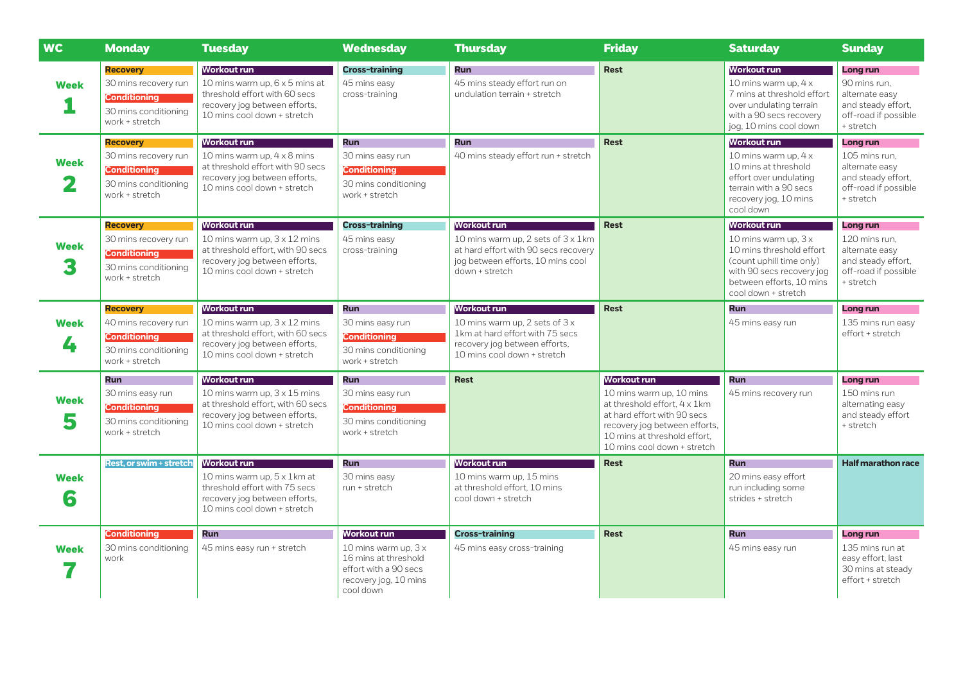| <b>WC</b>        | <b>Monday</b>                                                                                            | <b>Tuesday</b>                                                                                                                                                 | Wednesday                                                                                                                   | <b>Thursday</b>                                                                                                                                  | <b>Friday</b>                                                                                                                                                                                                 | <b>Saturday</b>                                                                                                                                                                     | <b>Sunday</b>                                                                                          |
|------------------|----------------------------------------------------------------------------------------------------------|----------------------------------------------------------------------------------------------------------------------------------------------------------------|-----------------------------------------------------------------------------------------------------------------------------|--------------------------------------------------------------------------------------------------------------------------------------------------|---------------------------------------------------------------------------------------------------------------------------------------------------------------------------------------------------------------|-------------------------------------------------------------------------------------------------------------------------------------------------------------------------------------|--------------------------------------------------------------------------------------------------------|
| <b>Week</b>      | <b>Recovery</b><br>30 mins recovery run<br>Conditioning<br>30 mins conditioning<br>work + stretch        | Workout run<br>10 mins warm up, 6 x 5 mins at<br>threshold effort with 60 secs<br>recovery jog between efforts,<br>10 mins cool down + stretch                 | <b>Cross-training</b><br>45 mins easy<br>cross-training                                                                     | <b>Run</b><br>45 mins steady effort run on<br>undulation terrain + stretch                                                                       | <b>Rest</b>                                                                                                                                                                                                   | Workout run<br>10 mins warm up, 4 x<br>7 mins at threshold effort<br>over undulating terrain<br>with a 90 secs recovery<br>jog, 10 mins cool down                                   | Long run<br>90 mins run.<br>alternate easy<br>and steady effort.<br>off-road if possible<br>+ stretch  |
| <b>Week</b><br>2 | <b>Recovery</b><br>30 mins recovery run<br><b>Conditioning</b><br>30 mins conditioning<br>work + stretch | Workout run<br>10 mins warm up, 4 x 8 mins<br>at threshold effort with 90 secs<br>recovery jog between efforts,<br>10 mins cool down + stretch                 | <b>Run</b><br>30 mins easy run<br><b>Conditioning</b><br>30 mins conditioning<br>work + stretch                             | <b>Run</b><br>40 mins steady effort run + stretch                                                                                                | <b>Rest</b>                                                                                                                                                                                                   | <b>Workout run</b><br>10 mins warm up, $4 \times$<br>10 mins at threshold<br>effort over undulating<br>terrain with a 90 secs<br>recovery jog, 10 mins<br>cool down                 | Long run<br>105 mins run.<br>alternate easy<br>and steady effort,<br>off-road if possible<br>+ stretch |
| <b>Week</b>      | <b>Recovery</b><br>30 mins recovery run<br><b>Conditioning</b><br>30 mins conditioning<br>work + stretch | <b>Workout run</b><br>10 mins warm up, $3 \times 12$ mins<br>at threshold effort, with 90 secs<br>recovery jog between efforts,<br>10 mins cool down + stretch | <b>Cross-training</b><br>45 mins easy<br>cross-training                                                                     | Workout run<br>10 mins warm up, 2 sets of 3 x 1km<br>at hard effort with 90 secs recovery<br>jog between efforts, 10 mins cool<br>down + stretch | <b>Rest</b>                                                                                                                                                                                                   | <b>Workout run</b><br>10 mins warm up, $3x$<br>10 mins threshold effort<br>(count uphill time only)<br>with 90 secs recovery jog<br>between efforts, 10 mins<br>cool down + stretch | Long run<br>120 mins run,<br>alternate easy<br>and steady effort.<br>off-road if possible<br>+ stretch |
| <b>Week</b><br>4 | <b>Recovery</b><br>40 mins recovery run<br>Conditioning<br>30 mins conditioning<br>work + stretch        | Workout run<br>10 mins warm up, $3 \times 12$ mins<br>at threshold effort, with 60 secs<br>recovery jog between efforts,<br>10 mins cool down + stretch        | <b>Run</b><br>30 mins easy run<br><b>Conditioning</b><br>30 mins conditioning<br>work + stretch                             | Workout run<br>10 mins warm up, 2 sets of 3 x<br>1km at hard effort with 75 secs<br>recovery jog between efforts,<br>10 mins cool down + stretch | <b>Rest</b>                                                                                                                                                                                                   | <b>Run</b><br>45 mins easy run                                                                                                                                                      | Long run<br>135 mins run easy<br>effort + stretch                                                      |
| Week<br>5        | Run<br>30 mins easy run<br><b>Conditioning</b><br>30 mins conditioning<br>work + stretch                 | <b>Workout run</b><br>10 mins warm up, $3 \times 15$ mins<br>at threshold effort, with 60 secs<br>recovery jog between efforts,<br>10 mins cool down + stretch | <b>Run</b><br>30 mins easy run<br><b>Conditioning</b><br>30 mins conditioning<br>work + stretch                             | <b>Rest</b>                                                                                                                                      | <b>Workout run</b><br>10 mins warm up, 10 mins<br>at threshold effort, 4 x 1km<br>at hard effort with 90 secs<br>recovery jog between efforts,<br>10 mins at threshold effort,<br>10 mins cool down + stretch | <b>Run</b><br>45 mins recovery run                                                                                                                                                  | Long run<br>150 mins run<br>alternating easy<br>and steady effort<br>+ stretch                         |
| <b>Week</b><br>6 | <b>Rest, or swim + stretch</b>                                                                           | <b>Workout run</b><br>10 mins warm up, 5 x 1 km at<br>threshold effort with 75 secs<br>recovery jog between efforts,<br>10 mins cool down + stretch            | <b>Run</b><br>30 mins easy<br>run + stretch                                                                                 | <b>Workout run</b><br>10 mins warm up, 15 mins<br>at threshold effort. 10 mins<br>cool down + stretch                                            | <b>Rest</b>                                                                                                                                                                                                   | <b>Run</b><br>20 mins easy effort<br>run including some<br>strides + stretch                                                                                                        | <b>Half marathon race</b>                                                                              |
| <b>Week</b>      | Conditioning<br>30 mins conditioning<br>work                                                             | Run<br>45 mins easy run + stretch                                                                                                                              | Workout run<br>10 mins warm up, $3x$<br>16 mins at threshold<br>effort with a 90 secs<br>recovery jog, 10 mins<br>cool down | <b>Cross-training</b><br>45 mins easy cross-training                                                                                             | <b>Rest</b>                                                                                                                                                                                                   | <b>Run</b><br>45 mins easy run                                                                                                                                                      | Long run<br>135 mins run at<br>easy effort, last<br>30 mins at steady<br>effort + stretch              |